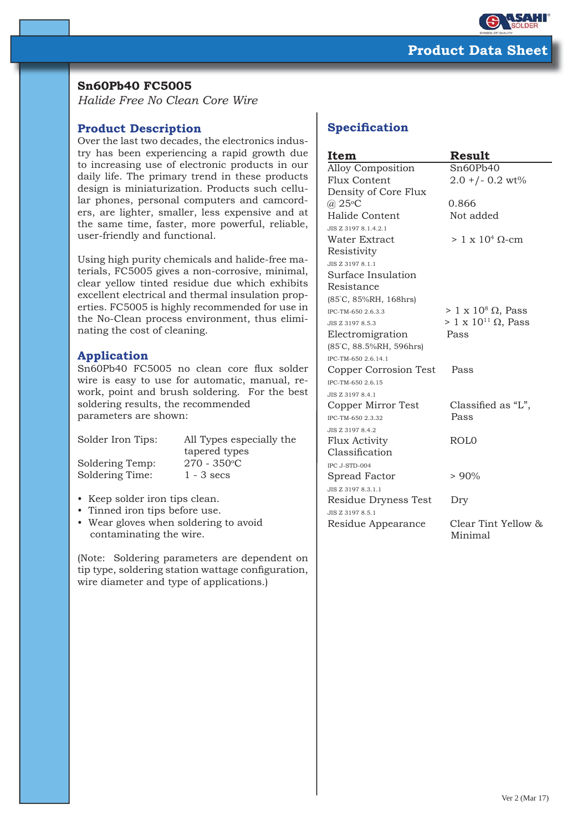

## **Sn60Pb40 FC5005**

*Halide Free No Clean Core Wire*

## **Product Description**

Over the last two decades, the electronics industry has been experiencing a rapid growth due to increasing use of electronic products in our daily life. The primary trend in these products design is miniaturization. Products such cellular phones, personal computers and camcorders, are lighter, smaller, less expensive and at the same time, faster, more powerful, reliable, user-friendly and functional.

Using high purity chemicals and halide-free materials, FC5005 gives a non-corrosive, minimal, clear yellow tinted residue due which exhibits excellent electrical and thermal insulation properties. FC5005 is highly recommended for use in the No-Clean process environment, thus eliminating the cost of cleaning.

## **Application**

Sn60Pb40 FC5005 no clean core flux solder wire is easy to use for automatic, manual, rework, point and brush soldering. For the best soldering results, the recommended parameters are shown:

Soldering Temp:

Solder Iron Tips: All Types especially the tapered types  $270 - 350$ °C Soldering Time: 1 - 3 secs

- Keep solder iron tips clean.
- Tinned iron tips before use.
- Wear gloves when soldering to avoid contaminating the wire.

(Note: Soldering parameters are dependent on tip type, soldering station wattage configuration, wire diameter and type of applications.)

# **Specification**

| Item                    | <b>Result</b>                      |  |
|-------------------------|------------------------------------|--|
| Alloy Composition       | Sn60Pb40                           |  |
| <b>Flux Content</b>     | $2.0 + (-0.2 \text{ wt})$          |  |
| Density of Core Flux    |                                    |  |
| $(a)$ 25°C              | 0.866                              |  |
| Halide Content          | Not added                          |  |
| JIS Z 3197 8.1.4.2.1    |                                    |  |
| Water Extract           | $> 1 \times 10^4$ Q-cm             |  |
| Resistivity             |                                    |  |
| JIS Z 3197 8.1.1        |                                    |  |
| Surface Insulation      |                                    |  |
| Resistance              |                                    |  |
| (85°C, 85%RH, 168hrs)   |                                    |  |
| IPC-TM-650 2.6.3.3      | $> 1 \times 10^8 \Omega$ , Pass    |  |
| JIS Z 3197 8.5.3        | $> 1 \times 10^{11} \Omega$ , Pass |  |
| Electromigration        | Pass                               |  |
| (85°C, 88.5%RH, 596hrs) |                                    |  |
| IPC-TM-650 2.6.14.1     |                                    |  |
| Copper Corrosion Test   | Pass                               |  |
| IPC-TM-650 2.6.15       |                                    |  |
| JIS Z 3197 8.4.1        |                                    |  |
| Copper Mirror Test      | Classified as "L",                 |  |
| IPC-TM-650 2.3.32       | Pass                               |  |
| JIS Z 3197 8.4.2        |                                    |  |
| Flux Activity           | ROL <sub>0</sub>                   |  |
| Classification          |                                    |  |
| IPC J-STD-004           |                                    |  |
| Spread Factor           | $> 90\%$                           |  |
| JIS Z 3197 8.3.1.1      |                                    |  |
| Residue Dryness Test    | Dry                                |  |
| JIS Z 3197 8.5.1        |                                    |  |
| Residue Appearance      | Clear Tint Yellow &<br>Minimal     |  |